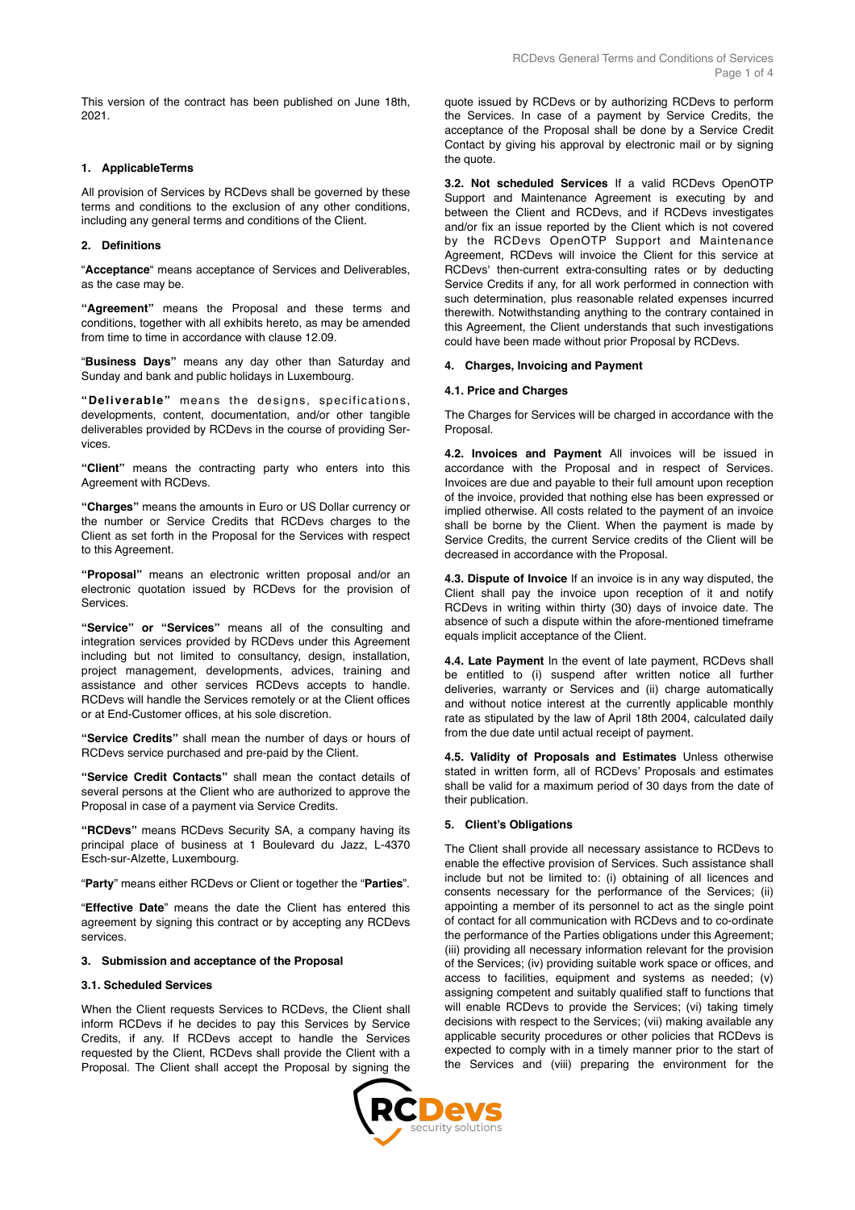This version of the contract has been published on June 18th, 2021.

### **1. ApplicableTerms**

All provision of Services by RCDevs shall be governed by these terms and conditions to the exclusion of any other conditions, including any general terms and conditions of the Client.

## **2. Definitions**

"**Acceptance**" means acceptance of Services and Deliverables, as the case may be.

**"Agreement"** means the Proposal and these terms and conditions, together with all exhibits hereto, as may be amended from time to time in accordance with clause 12.09.

"**Business Days"** means any day other than Saturday and Sunday and bank and public holidays in Luxembourg.

**"Deliverable"** means the designs, specifications, developments, content, documentation, and/or other tangible deliverables provided by RCDevs in the course of providing Services.

**"Client"** means the contracting party who enters into this Agreement with RCDevs.

**"Charges"** means the amounts in Euro or US Dollar currency or the number or Service Credits that RCDevs charges to the Client as set forth in the Proposal for the Services with respect to this Agreement.

**"Proposal"** means an electronic written proposal and/or an electronic quotation issued by RCDevs for the provision of **Services** 

**"Service" or "Services"** means all of the consulting and integration services provided by RCDevs under this Agreement including but not limited to consultancy, design, installation, project management, developments, advices, training and assistance and other services RCDevs accepts to handle. RCDevs will handle the Services remotely or at the Client offices or at End-Customer offices, at his sole discretion.

**"Service Credits"** shall mean the number of days or hours of RCDevs service purchased and pre-paid by the Client.

**"Service Credit Contacts"** shall mean the contact details of several persons at the Client who are authorized to approve the Proposal in case of a payment via Service Credits.

**"RCDevs"** means RCDevs Security SA, a company having its principal place of business at 1 Boulevard du Jazz, L-4370 Esch-sur-Alzette, Luxembourg.

"**Party**" means either RCDevs or Client or together the "**Parties**".

"**Effective Date**" means the date the Client has entered this agreement by signing this contract or by accepting any RCDevs services.

## **3. Submission and acceptance of the Proposal**

### **3.1. Scheduled Services**

When the Client requests Services to RCDevs, the Client shall inform RCDevs if he decides to pay this Services by Service Credits, if any. If RCDevs accept to handle the Services requested by the Client, RCDevs shall provide the Client with a Proposal. The Client shall accept the Proposal by signing the quote issued by RCDevs or by authorizing RCDevs to perform the Services. In case of a payment by Service Credits, the acceptance of the Proposal shall be done by a Service Credit Contact by giving his approval by electronic mail or by signing the quote.

**3.2. Not scheduled Services** If a valid RCDevs OpenOTP Support and Maintenance Agreement is executing by and between the Client and RCDevs, and if RCDevs investigates and/or fix an issue reported by the Client which is not covered by the RCDevs OpenOTP Support and Maintenance Agreement, RCDevs will invoice the Client for this service at RCDevs' then-current extra-consulting rates or by deducting Service Credits if any, for all work performed in connection with such determination, plus reasonable related expenses incurred therewith. Notwithstanding anything to the contrary contained in this Agreement, the Client understands that such investigations could have been made without prior Proposal by RCDevs.

#### **4. Charges, Invoicing and Payment**

#### **4.1. Price and Charges**

The Charges for Services will be charged in accordance with the Proposal.

**4.2. Invoices and Payment** All invoices will be issued in accordance with the Proposal and in respect of Services. Invoices are due and payable to their full amount upon reception of the invoice, provided that nothing else has been expressed or implied otherwise. All costs related to the payment of an invoice shall be borne by the Client. When the payment is made by Service Credits, the current Service credits of the Client will be decreased in accordance with the Proposal.

**4.3. Dispute of Invoice** If an invoice is in any way disputed, the Client shall pay the invoice upon reception of it and notify RCDevs in writing within thirty (30) days of invoice date. The absence of such a dispute within the afore-mentioned timeframe equals implicit acceptance of the Client.

**4.4. Late Payment** In the event of late payment, RCDevs shall be entitled to (i) suspend after written notice all further deliveries, warranty or Services and (ii) charge automatically and without notice interest at the currently applicable monthly rate as stipulated by the law of April 18th 2004, calculated daily from the due date until actual receipt of payment.

**4.5. Validity of Proposals and Estimates** Unless otherwise stated in written form, all of RCDevs' Proposals and estimates shall be valid for a maximum period of 30 days from the date of their publication.

#### **5. Client's Obligations**

The Client shall provide all necessary assistance to RCDevs to enable the effective provision of Services. Such assistance shall include but not be limited to: (i) obtaining of all licences and consents necessary for the performance of the Services; (ii) appointing a member of its personnel to act as the single point of contact for all communication with RCDevs and to co-ordinate the performance of the Parties obligations under this Agreement; (iii) providing all necessary information relevant for the provision of the Services; (iv) providing suitable work space or offices, and access to facilities, equipment and systems as needed; (v) assigning competent and suitably qualified staff to functions that will enable RCDevs to provide the Services; (vi) taking timely decisions with respect to the Services; (vii) making available any applicable security procedures or other policies that RCDevs is expected to comply with in a timely manner prior to the start of the Services and (viii) preparing the environment for the

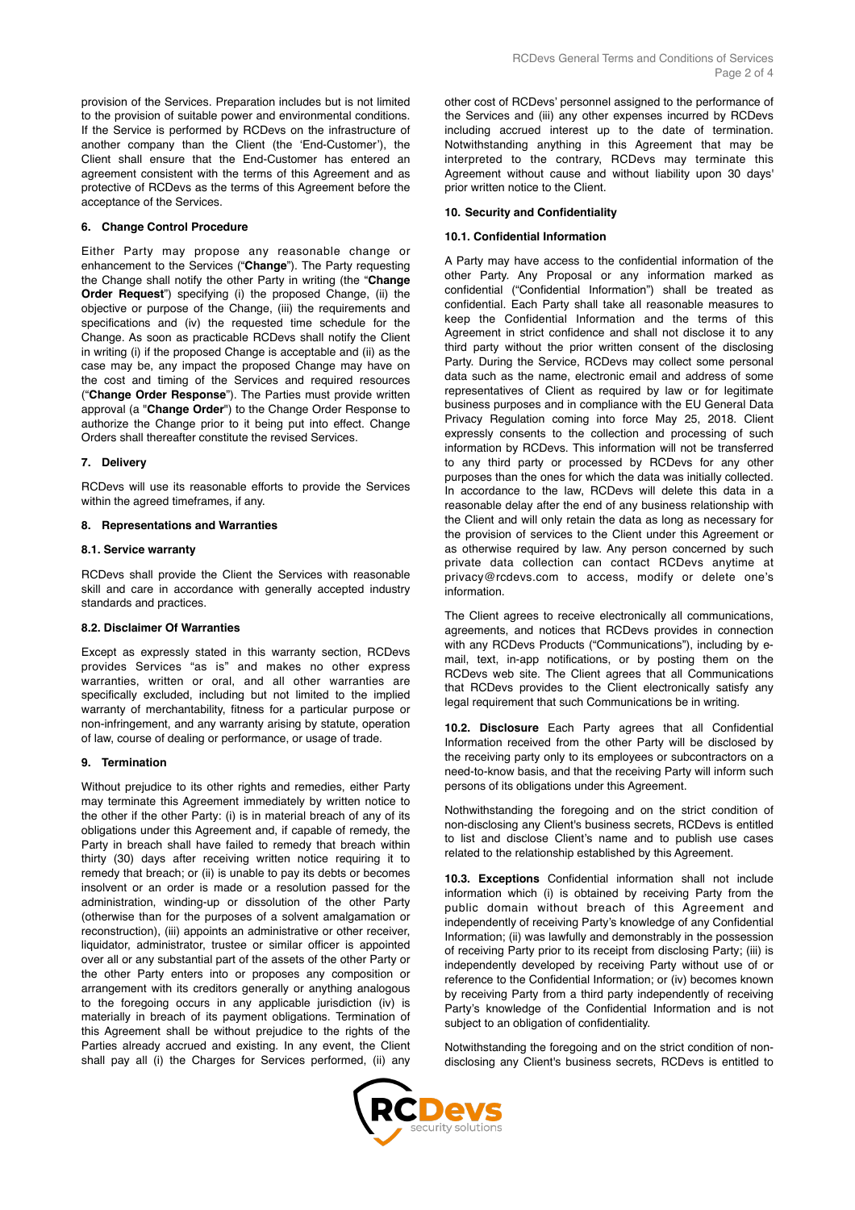#### **6. Change Control Procedure**

Either Party may propose any reasonable change or enhancement to the Services ("**Change**"). The Party requesting the Change shall notify the other Party in writing (the "**Change Order Request**") specifying (i) the proposed Change, (ii) the objective or purpose of the Change, (iii) the requirements and specifications and (iv) the requested time schedule for the Change. As soon as practicable RCDevs shall notify the Client in writing (i) if the proposed Change is acceptable and (ii) as the case may be, any impact the proposed Change may have on the cost and timing of the Services and required resources ("**Change Order Response**"). The Parties must provide written approval (a "**Change Order**") to the Change Order Response to authorize the Change prior to it being put into effect. Change Orders shall thereafter constitute the revised Services.

#### **7. Delivery**

RCDevs will use its reasonable efforts to provide the Services within the agreed timeframes, if any.

#### **8. Representations and Warranties**

#### **8.1. Service warranty**

RCDevs shall provide the Client the Services with reasonable skill and care in accordance with generally accepted industry standards and practices.

#### **8.2. Disclaimer Of Warranties**

Except as expressly stated in this warranty section, RCDevs provides Services "as is" and makes no other express warranties, written or oral, and all other warranties are specifically excluded, including but not limited to the implied warranty of merchantability, fitness for a particular purpose or non-infringement, and any warranty arising by statute, operation of law, course of dealing or performance, or usage of trade.

### **9. Termination**

Without prejudice to its other rights and remedies, either Party may terminate this Agreement immediately by written notice to the other if the other Party: (i) is in material breach of any of its obligations under this Agreement and, if capable of remedy, the Party in breach shall have failed to remedy that breach within thirty (30) days after receiving written notice requiring it to remedy that breach; or (ii) is unable to pay its debts or becomes insolvent or an order is made or a resolution passed for the administration, winding-up or dissolution of the other Party (otherwise than for the purposes of a solvent amalgamation or reconstruction), (iii) appoints an administrative or other receiver, liquidator, administrator, trustee or similar officer is appointed over all or any substantial part of the assets of the other Party or the other Party enters into or proposes any composition or arrangement with its creditors generally or anything analogous to the foregoing occurs in any applicable jurisdiction (iv) is materially in breach of its payment obligations. Termination of this Agreement shall be without prejudice to the rights of the Parties already accrued and existing. In any event, the Client shall pay all (i) the Charges for Services performed, (ii) any other cost of RCDevs' personnel assigned to the performance of the Services and (iii) any other expenses incurred by RCDevs including accrued interest up to the date of termination. Notwithstanding anything in this Agreement that may be interpreted to the contrary, RCDevs may terminate this Agreement without cause and without liability upon 30 days' prior written notice to the Client.

#### **10. Security and Confidentiality**

### **10.1. Confidential Information**

A Party may have access to the confidential information of the other Party. Any Proposal or any information marked as confidential ("Confidential Information") shall be treated as confidential. Each Party shall take all reasonable measures to keep the Confidential Information and the terms of this Agreement in strict confidence and shall not disclose it to any third party without the prior written consent of the disclosing Party. During the Service, RCDevs may collect some personal data such as the name, electronic email and address of some representatives of Client as required by law or for legitimate business purposes and in compliance with the EU General Data Privacy Regulation coming into force May 25, 2018. Client expressly consents to the collection and processing of such information by RCDevs. This information will not be transferred to any third party or processed by RCDevs for any other purposes than the ones for which the data was initially collected. In accordance to the law, RCDevs will delete this data in a reasonable delay after the end of any business relationship with the Client and will only retain the data as long as necessary for the provision of services to the Client under this Agreement or as otherwise required by law. Any person concerned by such private data collection can contact RCDevs anytime at privacy@rcdevs.com to access, modify or delete one's information.

The Client agrees to receive electronically all communications, agreements, and notices that RCDevs provides in connection with any RCDevs Products ("Communications"), including by email, text, in-app notifications, or by posting them on the RCDevs web site. The Client agrees that all Communications that RCDevs provides to the Client electronically satisfy any legal requirement that such Communications be in writing.

**10.2. Disclosure** Each Party agrees that all Confidential Information received from the other Party will be disclosed by the receiving party only to its employees or subcontractors on a need-to-know basis, and that the receiving Party will inform such persons of its obligations under this Agreement.

Nothwithstanding the foregoing and on the strict condition of non-disclosing any Client's business secrets, RCDevs is entitled to list and disclose Client's name and to publish use cases related to the relationship established by this Agreement.

**10.3. Exceptions** Confidential information shall not include information which (i) is obtained by receiving Party from the public domain without breach of this Agreement and independently of receiving Party's knowledge of any Confidential Information; (ii) was lawfully and demonstrably in the possession of receiving Party prior to its receipt from disclosing Party; (iii) is independently developed by receiving Party without use of or reference to the Confidential Information; or (iv) becomes known by receiving Party from a third party independently of receiving Party's knowledge of the Confidential Information and is not subject to an obligation of confidentiality.

Notwithstanding the foregoing and on the strict condition of nondisclosing any Client's business secrets, RCDevs is entitled to

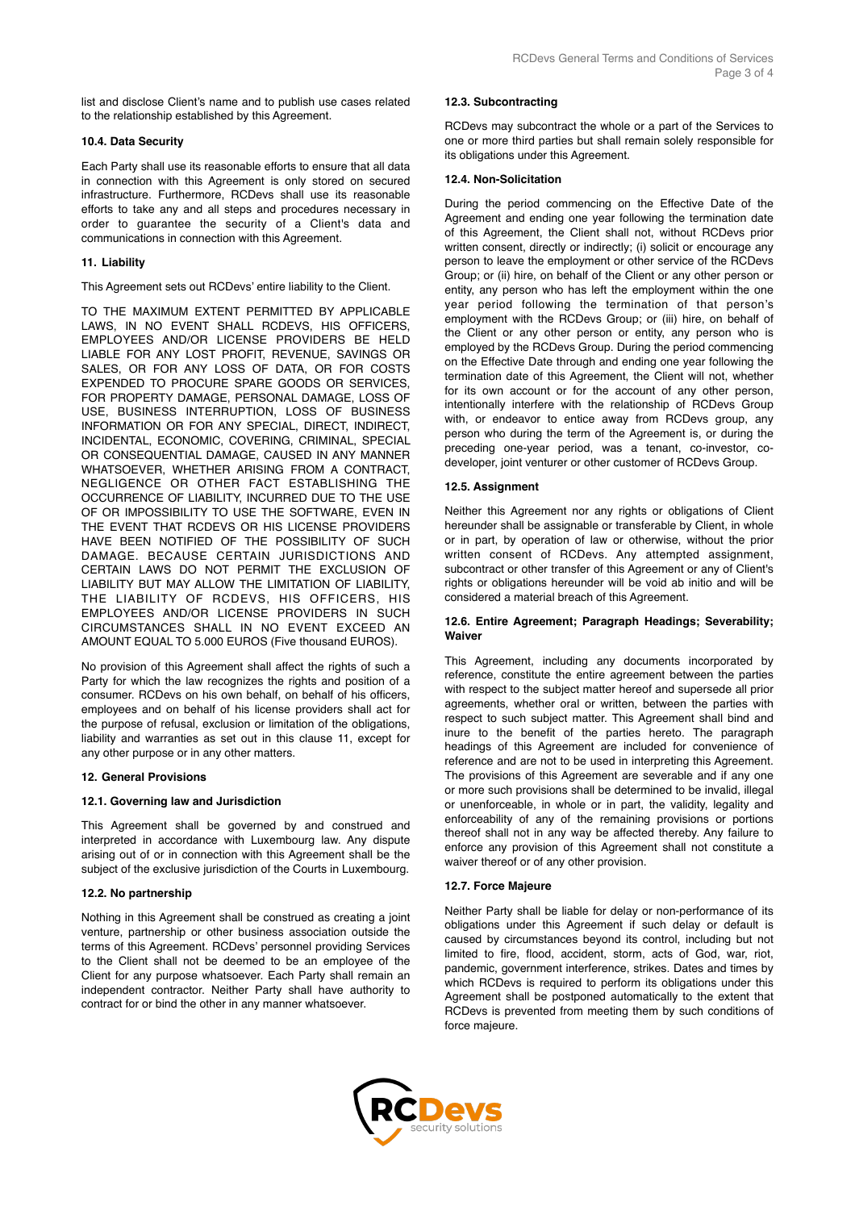list and disclose Client's name and to publish use cases related to the relationship established by this Agreement.

## **10.4. Data Security**

Each Party shall use its reasonable efforts to ensure that all data in connection with this Agreement is only stored on secured infrastructure. Furthermore, RCDevs shall use its reasonable efforts to take any and all steps and procedures necessary in order to guarantee the security of a Client's data and communications in connection with this Agreement.

## **11. Liability**

This Agreement sets out RCDevs' entire liability to the Client.

TO THE MAXIMUM EXTENT PERMITTED BY APPLICABLE LAWS, IN NO EVENT SHALL RCDEVS, HIS OFFICERS, EMPLOYEES AND/OR LICENSE PROVIDERS BE HELD LIABLE FOR ANY LOST PROFIT, REVENUE, SAVINGS OR SALES, OR FOR ANY LOSS OF DATA, OR FOR COSTS EXPENDED TO PROCURE SPARE GOODS OR SERVICES, FOR PROPERTY DAMAGE, PERSONAL DAMAGE, LOSS OF USE, BUSINESS INTERRUPTION, LOSS OF BUSINESS INFORMATION OR FOR ANY SPECIAL, DIRECT, INDIRECT, INCIDENTAL, ECONOMIC, COVERING, CRIMINAL, SPECIAL OR CONSEQUENTIAL DAMAGE, CAUSED IN ANY MANNER WHATSOEVER, WHETHER ARISING FROM A CONTRACT, NEGLIGENCE OR OTHER FACT ESTABLISHING THE OCCURRENCE OF LIABILITY, INCURRED DUE TO THE USE OF OR IMPOSSIBILITY TO USE THE SOFTWARE, EVEN IN THE EVENT THAT RCDEVS OR HIS LICENSE PROVIDERS HAVE BEEN NOTIFIED OF THE POSSIBILITY OF SUCH DAMAGE. BECAUSE CERTAIN JURISDICTIONS AND CERTAIN LAWS DO NOT PERMIT THE EXCLUSION OF LIABILITY BUT MAY ALLOW THE LIMITATION OF LIABILITY, THE LIABILITY OF RCDEVS, HIS OFFICERS, HIS EMPLOYEES AND/OR LICENSE PROVIDERS IN SUCH CIRCUMSTANCES SHALL IN NO EVENT EXCEED AN AMOUNT EQUAL TO 5.000 EUROS (Five thousand EUROS).

No provision of this Agreement shall affect the rights of such a Party for which the law recognizes the rights and position of a consumer. RCDevs on his own behalf, on behalf of his officers, employees and on behalf of his license providers shall act for the purpose of refusal, exclusion or limitation of the obligations, liability and warranties as set out in this clause 11, except for any other purpose or in any other matters.

## **12. General Provisions**

#### **12.1. Governing law and Jurisdiction**

This Agreement shall be governed by and construed and interpreted in accordance with Luxembourg law. Any dispute arising out of or in connection with this Agreement shall be the subject of the exclusive jurisdiction of the Courts in Luxembourg.

## **12.2. No partnership**

Nothing in this Agreement shall be construed as creating a joint venture, partnership or other business association outside the terms of this Agreement. RCDevs' personnel providing Services to the Client shall not be deemed to be an employee of the Client for any purpose whatsoever. Each Party shall remain an independent contractor. Neither Party shall have authority to contract for or bind the other in any manner whatsoever.

### **12.3. Subcontracting**

RCDevs may subcontract the whole or a part of the Services to one or more third parties but shall remain solely responsible for its obligations under this Agreement.

### **12.4. Non-Solicitation**

During the period commencing on the Effective Date of the Agreement and ending one year following the termination date of this Agreement, the Client shall not, without RCDevs prior written consent, directly or indirectly; (i) solicit or encourage any person to leave the employment or other service of the RCDevs Group; or (ii) hire, on behalf of the Client or any other person or entity, any person who has left the employment within the one year period following the termination of that person's employment with the RCDevs Group; or (iii) hire, on behalf of the Client or any other person or entity, any person who is employed by the RCDevs Group. During the period commencing on the Effective Date through and ending one year following the termination date of this Agreement, the Client will not, whether for its own account or for the account of any other person, intentionally interfere with the relationship of RCDevs Group with, or endeavor to entice away from RCDevs group, any person who during the term of the Agreement is, or during the preceding one-year period, was a tenant, co-investor, codeveloper, joint venturer or other customer of RCDevs Group.

## **12.5. Assignment**

Neither this Agreement nor any rights or obligations of Client hereunder shall be assignable or transferable by Client, in whole or in part, by operation of law or otherwise, without the prior written consent of RCDevs. Any attempted assignment, subcontract or other transfer of this Agreement or any of Client's rights or obligations hereunder will be void ab initio and will be considered a material breach of this Agreement.

### **12.6. Entire Agreement; Paragraph Headings; Severability; Waiver**

This Agreement, including any documents incorporated by reference, constitute the entire agreement between the parties with respect to the subject matter hereof and supersede all prior agreements, whether oral or written, between the parties with respect to such subject matter. This Agreement shall bind and inure to the benefit of the parties hereto. The paragraph headings of this Agreement are included for convenience of reference and are not to be used in interpreting this Agreement. The provisions of this Agreement are severable and if any one or more such provisions shall be determined to be invalid, illegal or unenforceable, in whole or in part, the validity, legality and enforceability of any of the remaining provisions or portions thereof shall not in any way be affected thereby. Any failure to enforce any provision of this Agreement shall not constitute a waiver thereof or of any other provision.

## **12.7. Force Majeure**

Neither Party shall be liable for delay or non-performance of its obligations under this Agreement if such delay or default is caused by circumstances beyond its control, including but not limited to fire, flood, accident, storm, acts of God, war, riot, pandemic, government interference, strikes. Dates and times by which RCDevs is required to perform its obligations under this Agreement shall be postponed automatically to the extent that RCDevs is prevented from meeting them by such conditions of force majeure.